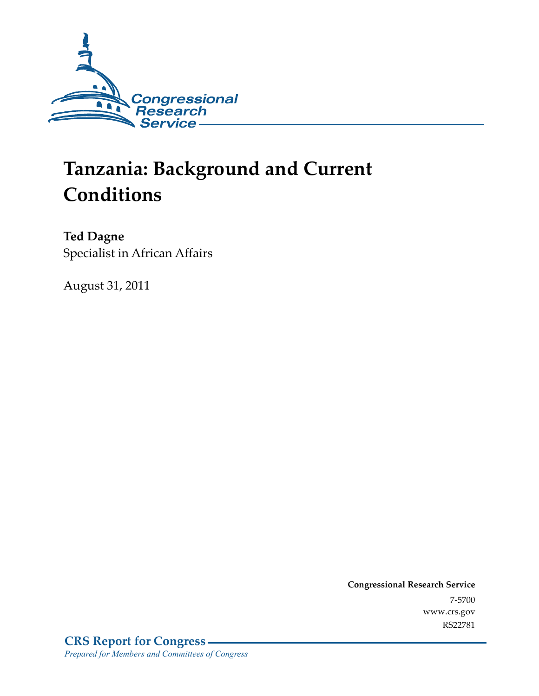

# **Tanzania: Background and Current Conditions**

**Ted Dagne**  Specialist in African Affairs

August 31, 2011

**Congressional Research Service**  7-5700 www.crs.gov RS22781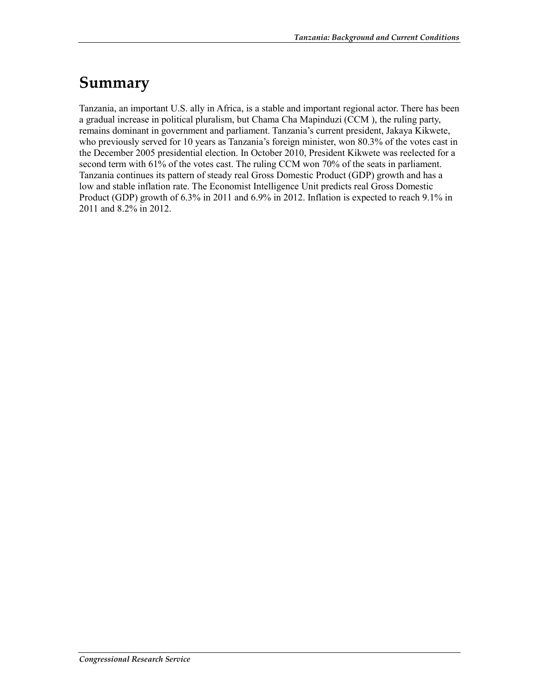## **Summary**

Tanzania, an important U.S. ally in Africa, is a stable and important regional actor. There has been a gradual increase in political pluralism, but Chama Cha Mapinduzi (CCM ), the ruling party, remains dominant in government and parliament. Tanzania's current president, Jakaya Kikwete, who previously served for 10 years as Tanzania's foreign minister, won 80.3% of the votes cast in the December 2005 presidential election. In October 2010, President Kikwete was reelected for a second term with 61% of the votes cast. The ruling CCM won 70% of the seats in parliament. Tanzania continues its pattern of steady real Gross Domestic Product (GDP) growth and has a low and stable inflation rate. The Economist Intelligence Unit predicts real Gross Domestic Product (GDP) growth of 6.3% in 2011 and 6.9% in 2012. Inflation is expected to reach 9.1% in 2011 and 8.2% in 2012.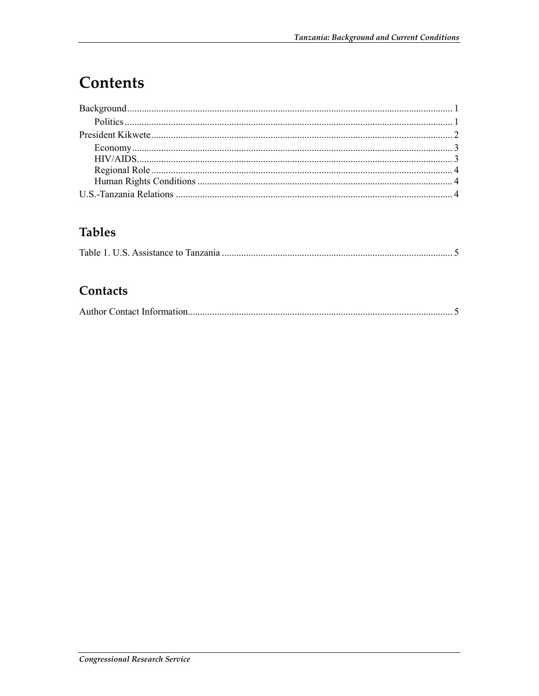# Contents

### **Tables**

|--|

### Contacts

|--|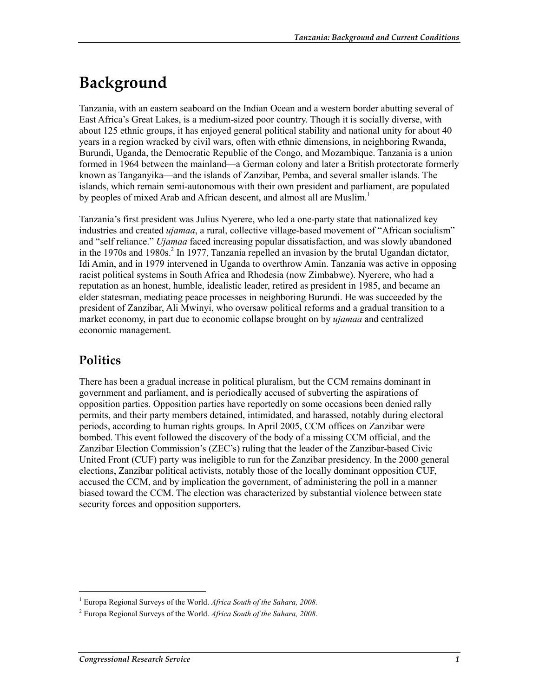# **Background**

Tanzania, with an eastern seaboard on the Indian Ocean and a western border abutting several of East Africa's Great Lakes, is a medium-sized poor country. Though it is socially diverse, with about 125 ethnic groups, it has enjoyed general political stability and national unity for about 40 years in a region wracked by civil wars, often with ethnic dimensions, in neighboring Rwanda, Burundi, Uganda, the Democratic Republic of the Congo, and Mozambique. Tanzania is a union formed in 1964 between the mainland—a German colony and later a British protectorate formerly known as Tanganyika—and the islands of Zanzibar, Pemba, and several smaller islands. The islands, which remain semi-autonomous with their own president and parliament, are populated by peoples of mixed Arab and African descent, and almost all are Muslim.<sup>1</sup>

Tanzania's first president was Julius Nyerere, who led a one-party state that nationalized key industries and created *ujamaa*, a rural, collective village-based movement of "African socialism" and "self reliance." *Ujamaa* faced increasing popular dissatisfaction, and was slowly abandoned in the 1970s and 1980s.<sup>2</sup> In 1977, Tanzania repelled an invasion by the brutal Ugandan dictator, Idi Amin, and in 1979 intervened in Uganda to overthrow Amin. Tanzania was active in opposing racist political systems in South Africa and Rhodesia (now Zimbabwe). Nyerere, who had a reputation as an honest, humble, idealistic leader, retired as president in 1985, and became an elder statesman, mediating peace processes in neighboring Burundi. He was succeeded by the president of Zanzibar, Ali Mwinyi, who oversaw political reforms and a gradual transition to a market economy, in part due to economic collapse brought on by *ujamaa* and centralized economic management.

### **Politics**

1

There has been a gradual increase in political pluralism, but the CCM remains dominant in government and parliament, and is periodically accused of subverting the aspirations of opposition parties. Opposition parties have reportedly on some occasions been denied rally permits, and their party members detained, intimidated, and harassed, notably during electoral periods, according to human rights groups. In April 2005, CCM offices on Zanzibar were bombed. This event followed the discovery of the body of a missing CCM official, and the Zanzibar Election Commission's (ZEC's) ruling that the leader of the Zanzibar-based Civic United Front (CUF) party was ineligible to run for the Zanzibar presidency. In the 2000 general elections, Zanzibar political activists, notably those of the locally dominant opposition CUF, accused the CCM, and by implication the government, of administering the poll in a manner biased toward the CCM. The election was characterized by substantial violence between state security forces and opposition supporters.

<sup>&</sup>lt;sup>1</sup> Europa Regional Surveys of the World. Africa South of the Sahara, 2008.

<sup>2</sup> Europa Regional Surveys of the World. *Africa South of the Sahara, 2008*.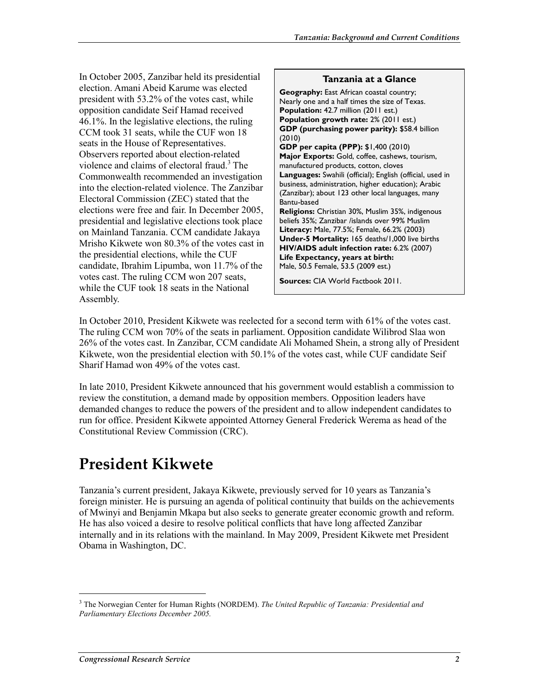In October 2005, Zanzibar held its presidential election. Amani Abeid Karume was elected president with 53.2% of the votes cast, while opposition candidate Seif Hamad received 46.1%. In the legislative elections, the ruling CCM took 31 seats, while the CUF won 18 seats in the House of Representatives. Observers reported about election-related violence and claims of electoral fraud.<sup>3</sup> The Commonwealth recommended an investigation into the election-related violence. The Zanzibar Electoral Commission (ZEC) stated that the elections were free and fair. In December 2005, presidential and legislative elections took place on Mainland Tanzania. CCM candidate Jakaya Mrisho Kikwete won 80.3% of the votes cast in the presidential elections, while the CUF candidate, Ibrahim Lipumba, won 11.7% of the votes cast. The ruling CCM won 207 seats, while the CUF took 18 seats in the National Assembly.

#### **Tanzania at a Glance Geography:** East African coastal country; Nearly one and a half times the size of Texas. **Population:** 42.7 million (2011 est.) **Population growth rate:** 2% (2011 est.) **GDP (purchasing power parity):** \$58.4 billion (2010) **GDP per capita (PPP):** \$1,400 (2010) **Major Exports:** Gold, coffee, cashews, tourism, manufactured products, cotton, cloves **Languages:** Swahili (official); English (official, used in business, administration, higher education); Arabic (Zanzibar); about 123 other local languages, many Bantu-based **Religions:** Christian 30%, Muslim 35%, indigenous beliefs 35%; Zanzibar /islands over 99% Muslim **Literacy:** Male, 77.5%; Female, 66.2% (2003) **Under-5 Mortality:** 165 deaths/1,000 live births **HIV/AIDS adult infection rate:** 6.2% (2007) **Life Expectancy, years at birth:** Male, 50.5 Female, 53.5 (2009 est.) **Sources:** CIA World Factbook 2011.

In October 2010, President Kikwete was reelected for a second term with 61% of the votes cast. The ruling CCM won 70% of the seats in parliament. Opposition candidate Wilibrod Slaa won 26% of the votes cast. In Zanzibar, CCM candidate Ali Mohamed Shein, a strong ally of President Kikwete, won the presidential election with 50.1% of the votes cast, while CUF candidate Seif Sharif Hamad won 49% of the votes cast.

In late 2010, President Kikwete announced that his government would establish a commission to review the constitution, a demand made by opposition members. Opposition leaders have demanded changes to reduce the powers of the president and to allow independent candidates to run for office. President Kikwete appointed Attorney General Frederick Werema as head of the Constitutional Review Commission (CRC).

# **President Kikwete**

Tanzania's current president, Jakaya Kikwete, previously served for 10 years as Tanzania's foreign minister. He is pursuing an agenda of political continuity that builds on the achievements of Mwinyi and Benjamin Mkapa but also seeks to generate greater economic growth and reform. He has also voiced a desire to resolve political conflicts that have long affected Zanzibar internally and in its relations with the mainland. In May 2009, President Kikwete met President Obama in Washington, DC.

1

<sup>3</sup> The Norwegian Center for Human Rights (NORDEM). *The United Republic of Tanzania: Presidential and Parliamentary Elections December 2005.*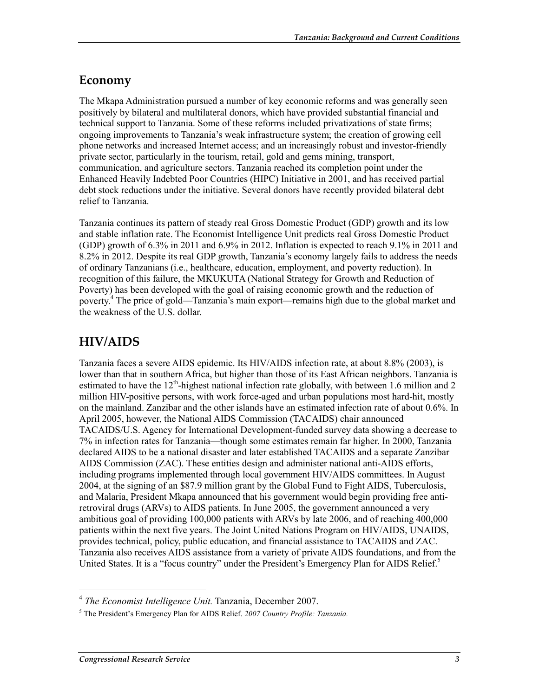### **Economy**

The Mkapa Administration pursued a number of key economic reforms and was generally seen positively by bilateral and multilateral donors, which have provided substantial financial and technical support to Tanzania. Some of these reforms included privatizations of state firms; ongoing improvements to Tanzania's weak infrastructure system; the creation of growing cell phone networks and increased Internet access; and an increasingly robust and investor-friendly private sector, particularly in the tourism, retail, gold and gems mining, transport, communication, and agriculture sectors. Tanzania reached its completion point under the Enhanced Heavily Indebted Poor Countries (HIPC) Initiative in 2001, and has received partial debt stock reductions under the initiative. Several donors have recently provided bilateral debt relief to Tanzania.

Tanzania continues its pattern of steady real Gross Domestic Product (GDP) growth and its low and stable inflation rate. The Economist Intelligence Unit predicts real Gross Domestic Product (GDP) growth of 6.3% in 2011 and 6.9% in 2012. Inflation is expected to reach 9.1% in 2011 and 8.2% in 2012. Despite its real GDP growth, Tanzania's economy largely fails to address the needs of ordinary Tanzanians (i.e., healthcare, education, employment, and poverty reduction). In recognition of this failure, the MKUKUTA (National Strategy for Growth and Reduction of Poverty) has been developed with the goal of raising economic growth and the reduction of poverty.<sup>4</sup> The price of gold—Tanzania's main export—remains high due to the global market and the weakness of the U.S. dollar.

### **HIV/AIDS**

Tanzania faces a severe AIDS epidemic. Its HIV/AIDS infection rate, at about 8.8% (2003), is lower than that in southern Africa, but higher than those of its East African neighbors. Tanzania is estimated to have the  $12<sup>th</sup>$ -highest national infection rate globally, with between 1.6 million and 2 million HIV-positive persons, with work force-aged and urban populations most hard-hit, mostly on the mainland. Zanzibar and the other islands have an estimated infection rate of about 0.6%. In April 2005, however, the National AIDS Commission (TACAIDS) chair announced TACAIDS/U.S. Agency for International Development-funded survey data showing a decrease to 7% in infection rates for Tanzania—though some estimates remain far higher. In 2000, Tanzania declared AIDS to be a national disaster and later established TACAIDS and a separate Zanzibar AIDS Commission (ZAC). These entities design and administer national anti-AIDS efforts, including programs implemented through local government HIV/AIDS committees. In August 2004, at the signing of an \$87.9 million grant by the Global Fund to Fight AIDS, Tuberculosis, and Malaria, President Mkapa announced that his government would begin providing free antiretroviral drugs (ARVs) to AIDS patients. In June 2005, the government announced a very ambitious goal of providing 100,000 patients with ARVs by late 2006, and of reaching 400,000 patients within the next five years. The Joint United Nations Program on HIV/AIDS, UNAIDS, provides technical, policy, public education, and financial assistance to TACAIDS and ZAC. Tanzania also receives AIDS assistance from a variety of private AIDS foundations, and from the United States. It is a "focus country" under the President's Emergency Plan for AIDS Relief. $5$ 

 $\overline{a}$ 

<sup>4</sup> *The Economist Intelligence Unit.* Tanzania, December 2007.

<sup>5</sup> The President's Emergency Plan for AIDS Relief. *2007 Country Profile: Tanzania.*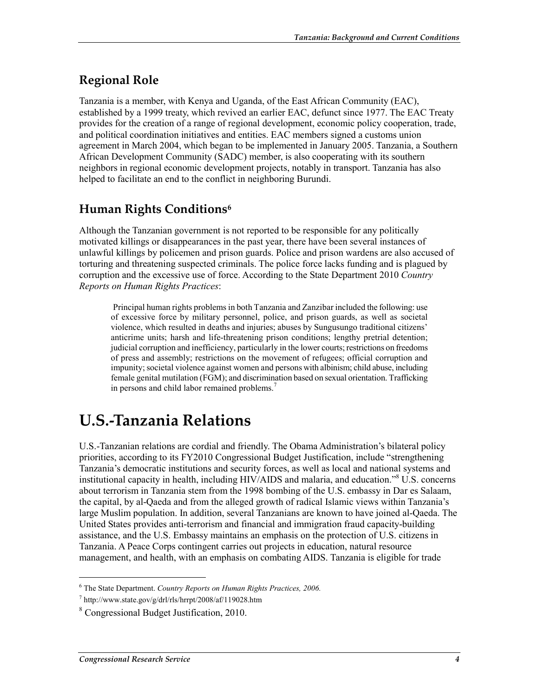### **Regional Role**

Tanzania is a member, with Kenya and Uganda, of the East African Community (EAC), established by a 1999 treaty, which revived an earlier EAC, defunct since 1977. The EAC Treaty provides for the creation of a range of regional development, economic policy cooperation, trade, and political coordination initiatives and entities. EAC members signed a customs union agreement in March 2004, which began to be implemented in January 2005. Tanzania, a Southern African Development Community (SADC) member, is also cooperating with its southern neighbors in regional economic development projects, notably in transport. Tanzania has also helped to facilitate an end to the conflict in neighboring Burundi.

### **Human Rights Conditions6**

Although the Tanzanian government is not reported to be responsible for any politically motivated killings or disappearances in the past year, there have been several instances of unlawful killings by policemen and prison guards. Police and prison wardens are also accused of torturing and threatening suspected criminals. The police force lacks funding and is plagued by corruption and the excessive use of force. According to the State Department 2010 *Country Reports on Human Rights Practices*:

 Principal human rights problems in both Tanzania and Zanzibar included the following: use of excessive force by military personnel, police, and prison guards, as well as societal violence, which resulted in deaths and injuries; abuses by Sungusungo traditional citizens' anticrime units; harsh and life-threatening prison conditions; lengthy pretrial detention; judicial corruption and inefficiency, particularly in the lower courts; restrictions on freedoms of press and assembly; restrictions on the movement of refugees; official corruption and impunity; societal violence against women and persons with albinism; child abuse, including female genital mutilation (FGM); and discrimination based on sexual orientation. Trafficking in persons and child labor remained problems.<sup>7</sup>

# **U.S.-Tanzania Relations**

U.S.-Tanzanian relations are cordial and friendly. The Obama Administration's bilateral policy priorities, according to its FY2010 Congressional Budget Justification, include "strengthening Tanzania's democratic institutions and security forces, as well as local and national systems and institutional capacity in health, including HIV/AIDS and malaria, and education."8 U.S. concerns about terrorism in Tanzania stem from the 1998 bombing of the U.S. embassy in Dar es Salaam, the capital, by al-Qaeda and from the alleged growth of radical Islamic views within Tanzania's large Muslim population. In addition, several Tanzanians are known to have joined al-Qaeda. The United States provides anti-terrorism and financial and immigration fraud capacity-building assistance, and the U.S. Embassy maintains an emphasis on the protection of U.S. citizens in Tanzania. A Peace Corps contingent carries out projects in education, natural resource management, and health, with an emphasis on combating AIDS. Tanzania is eligible for trade

1

<sup>6</sup> The State Department. *Country Reports on Human Rights Practices, 2006.*

<sup>7</sup> http://www.state.gov/g/drl/rls/hrrpt/2008/af/119028.htm

<sup>8</sup> Congressional Budget Justification, 2010.